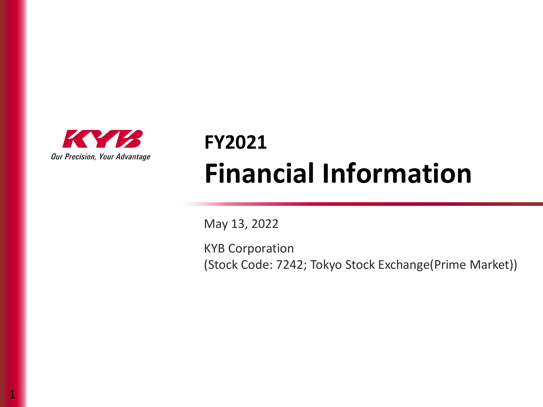

1

## **FY2021 Financial Information**

May 13, 2022

KYB Corporation (Stock Code: 7242; Tokyo Stock Exchange(Prime Market))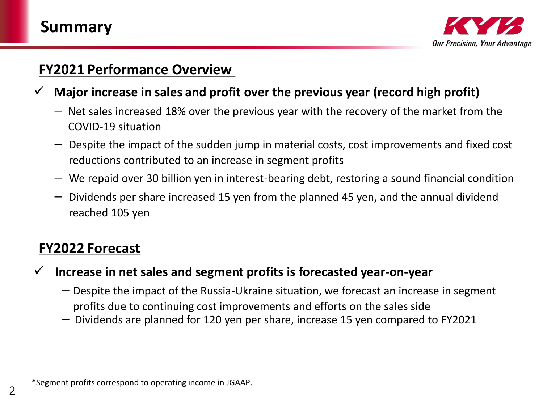

#### **FY2021 Performance Overview**

- ✓ **Major increase in sales and profit over the previous year (record high profit)**
	- $-$  Net sales increased 18% over the previous year with the recovery of the market from the COVID-19 situation
	- $-$  Despite the impact of the sudden jump in material costs, cost improvements and fixed cost reductions contributed to an increase in segment profits
	- $-$  We repaid over 30 billion yen in interest-bearing debt, restoring a sound financial condition
	- Dividends per share increased 15 yen from the planned 45 yen, and the annual dividend reached 105 yen

#### **FY2022 Forecast**

- ✓ **Increase in net sales and segment profits is forecasted year-on-year**
	- $-$  Despite the impact of the Russia-Ukraine situation, we forecast an increase in segment profits due to continuing cost improvements and efforts on the sales side
	- Dividends are planned for 120 yen per share, increase 15 yen compared to FY2021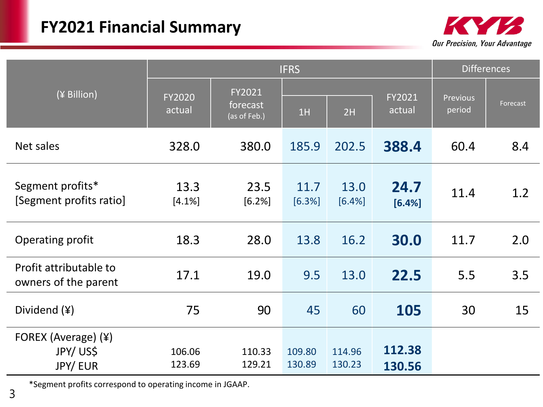## **FY2021 Financial Summary**



|                                                   |                         |                                    | <b>IFRS</b>      |                  |                  |                    | <b>Differences</b> |  |  |  |
|---------------------------------------------------|-------------------------|------------------------------------|------------------|------------------|------------------|--------------------|--------------------|--|--|--|
| (¥ Billion)                                       | <b>FY2020</b><br>actual | FY2021<br>forecast<br>(as of Feb.) | 1H               | 2H               | FY2021<br>actual | Previous<br>period | Forecast           |  |  |  |
| Net sales                                         | 328.0                   | 380.0                              | 185.9            | 202.5            | 388.4            | 60.4               | 8.4                |  |  |  |
| Segment profits*<br>[Segment profits ratio]       | 13.3<br>[4.1%]          | 23.5<br>[6.2%]                     | 11.7<br>[6.3%]   | 13.0<br>[6.4%]   | 24.7<br>[6.4%]   | 11.4               | 1.2                |  |  |  |
| Operating profit                                  | 18.3                    | 28.0                               | 13.8             | 16.2             | 30.0             | 11.7               | 2.0                |  |  |  |
| Profit attributable to<br>owners of the parent    | 17.1                    | 19.0                               | 9.5              | 13.0             | 22.5             | 5.5                | 3.5                |  |  |  |
| Dividend (¥)                                      | 75                      | 90                                 | 45               | 60               | 105              | 30                 | 15                 |  |  |  |
| FOREX (Average) (¥)<br>JPY/US\$<br><b>JPY/EUR</b> | 106.06<br>123.69        | 110.33<br>129.21                   | 109.80<br>130.89 | 114.96<br>130.23 | 112.38<br>130.56 |                    |                    |  |  |  |

\*Segment profits correspond to operating income in JGAAP.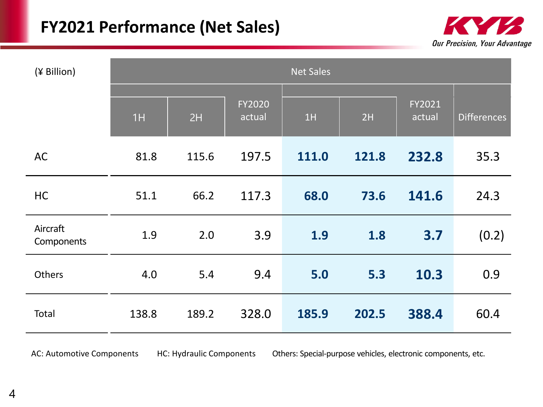#### **FY2021 Performance (Net Sales)**



| (¥ Billion)            |       |       |                  | <b>Net Sales</b> |       |                         |             |
|------------------------|-------|-------|------------------|------------------|-------|-------------------------|-------------|
|                        | 1H    | 2H    | FY2020<br>actual | 1H               | 2H    | <b>FY2021</b><br>actual | Differences |
| <b>AC</b>              | 81.8  | 115.6 | 197.5            | 111.0            | 121.8 | 232.8                   | 35.3        |
| HC                     | 51.1  | 66.2  | 117.3            | 68.0             | 73.6  | 141.6                   | 24.3        |
| Aircraft<br>Components | 1.9   | 2.0   | 3.9              | 1.9              | 1.8   | 3.7                     | (0.2)       |
| <b>Others</b>          | 4.0   | 5.4   | 9.4              | 5.0              | 5.3   | 10.3                    | 0.9         |
| Total                  | 138.8 | 189.2 | 328.0            | 185.9            | 202.5 | 388.4                   | 60.4        |
|                        |       |       |                  |                  |       |                         |             |

AC: Automotive Components HC: Hydraulic Components Others: Special-purpose vehicles, electronic components, etc.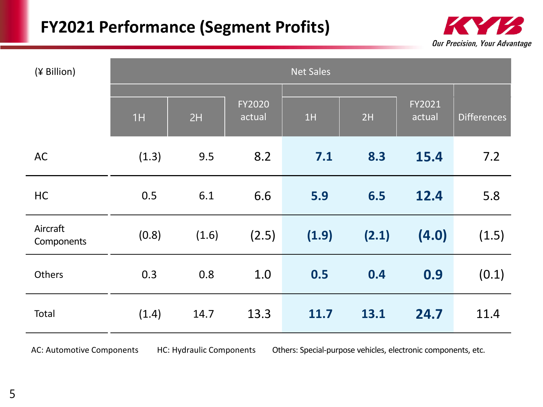#### **FY2021 Performance (Segment Profits)**



| (¥ Billion)            |       |       |                  | <b>Net Sales</b> |       |                  |                    |
|------------------------|-------|-------|------------------|------------------|-------|------------------|--------------------|
|                        | 1H    | 2H    | FY2020<br>actual | 1H               | 2H    | FY2021<br>actual | <b>Differences</b> |
| <b>AC</b>              | (1.3) | 9.5   | 8.2              | 7.1              | 8.3   | 15.4             | 7.2                |
| HC                     | 0.5   | 6.1   | 6.6              | 5.9              | 6.5   | 12.4             | 5.8                |
| Aircraft<br>Components | (0.8) | (1.6) | (2.5)            | (1.9)            | (2.1) | (4.0)            | (1.5)              |
| Others                 | 0.3   | 0.8   | 1.0              | 0.5              | 0.4   | 0.9              | (0.1)              |
| Total                  | (1.4) | 14.7  | 13.3             | 11.7             | 13.1  | 24.7             | 11.4               |
|                        |       |       |                  |                  |       |                  |                    |

AC: Automotive Components HC: Hydraulic Components Others: Special-purpose vehicles, electronic components, etc.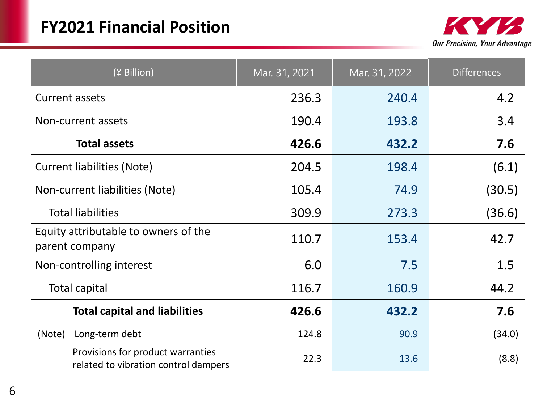

| (¥ Billion)                                                               | Mar. 31, 2021 | Mar. 31, 2022 | <b>Differences</b> |
|---------------------------------------------------------------------------|---------------|---------------|--------------------|
| Current assets                                                            | 236.3         | 240.4         | 4.2                |
| Non-current assets                                                        | 190.4         | 193.8         | 3.4                |
| <b>Total assets</b>                                                       | 426.6         | 432.2         | 7.6                |
| <b>Current liabilities (Note)</b>                                         | 204.5         | 198.4         | (6.1)              |
| Non-current liabilities (Note)                                            | 105.4         | 74.9          | (30.5)             |
| <b>Total liabilities</b>                                                  | 309.9         | 273.3         | (36.6)             |
| Equity attributable to owners of the<br>parent company                    | 110.7         | 153.4         | 42.7               |
| Non-controlling interest                                                  | 6.0           | 7.5           | 1.5                |
| <b>Total capital</b>                                                      | 116.7         | 160.9         | 44.2               |
| <b>Total capital and liabilities</b>                                      | 426.6         | 432.2         | 7.6                |
| (Note)<br>Long-term debt                                                  | 124.8         | 90.9          | (34.0)             |
| Provisions for product warranties<br>related to vibration control dampers | 22.3          | 13.6          | (8.8)              |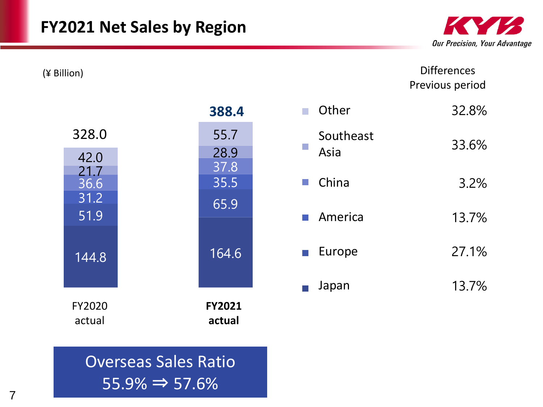

**Differences** Previous period

|              | 388.4         | $\mathcal{L}_{\mathcal{A}}$ | Other                 | 32.8% |
|--------------|---------------|-----------------------------|-----------------------|-------|
| 328.0        | 55.7          |                             | Southeast             | 33.6% |
| 42.0         | 28.9<br>37.8  | $\mathbb{R}^3$              | Asia                  |       |
| 21.7<br>36.6 | 35.5          | $\mathcal{L}_{\mathcal{A}}$ | China                 | 3.2%  |
| 31.2<br>51.9 | 65.9          |                             | <b>America</b>        | 13.7% |
|              |               |                             |                       |       |
| 144.8        | 164.6         |                             | $\blacksquare$ Europe | 27.1% |
|              |               | $\mathbb{R}^n$              | Japan                 | 13.7% |
| FY2020       | <b>FY2021</b> |                             |                       |       |
| actual       | actual        |                             |                       |       |

実績

## Overseas Sales Ratio  $55.9\% \Rightarrow 57.6\%$

実績

(¥ Billion)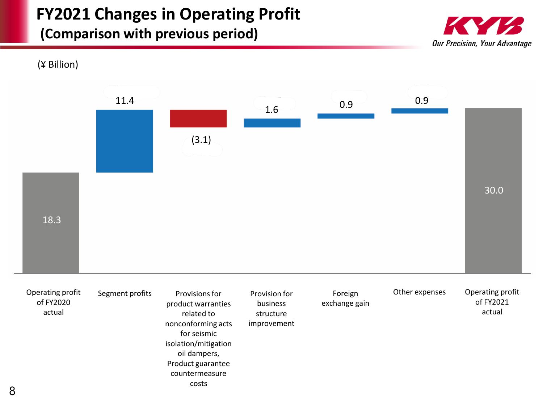## **FY2021 Changes in Operating Profit**

#### **(Comparison with previous period)**



(¥ Billion)

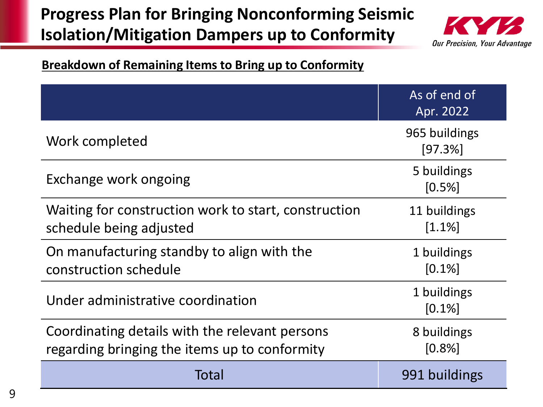## **Progress Plan for Bringing Nonconforming Seismic Isolation/Mitigation Dampers up to Conformity**



#### **Breakdown of Remaining Items to Bring up to Conformity**

|                                                                                                 | As of end of<br>Apr. 2022 |
|-------------------------------------------------------------------------------------------------|---------------------------|
| Work completed                                                                                  | 965 buildings<br>[97.3%]  |
| Exchange work ongoing                                                                           | 5 buildings<br>[0.5%]     |
| Waiting for construction work to start, construction<br>schedule being adjusted                 | 11 buildings<br>$[1.1\%]$ |
| On manufacturing standby to align with the<br>construction schedule                             | 1 buildings<br>$[0.1\%]$  |
| Under administrative coordination                                                               | 1 buildings<br>$[0.1\%]$  |
| Coordinating details with the relevant persons<br>regarding bringing the items up to conformity | 8 buildings<br>[0.8%]     |
| Total                                                                                           | 991 buildings             |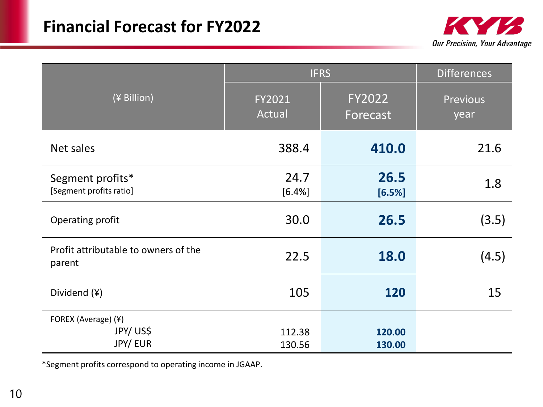

|                                                |                  | <b>IFRS</b>               |                         |  |  |  |
|------------------------------------------------|------------------|---------------------------|-------------------------|--|--|--|
| (¥ Billion)                                    | FY2021<br>Actual | <b>FY2022</b><br>Forecast | <b>Previous</b><br>year |  |  |  |
| Net sales                                      | 388.4            | 410.0                     | 21.6                    |  |  |  |
| Segment profits*<br>[Segment profits ratio]    | 24.7<br>[6.4%]   | 26.5<br>[6.5%]            | 1.8                     |  |  |  |
| Operating profit                               | 30.0             | 26.5                      | (3.5)                   |  |  |  |
| Profit attributable to owners of the<br>parent | 22.5             | 18.0                      | (4.5)                   |  |  |  |
| Dividend $(*)$                                 | 105              | 120                       | 15                      |  |  |  |
| FOREX (Average) (¥)<br>JPY/US\$<br>JPY/ EUR    | 112.38<br>130.56 | 120.00<br>130.00          |                         |  |  |  |

\*Segment profits correspond to operating income in JGAAP.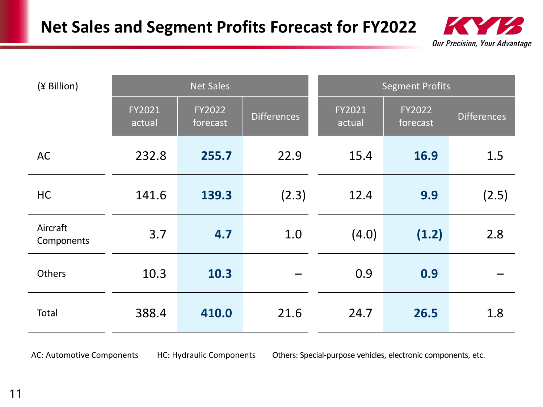

| (¥ Billion)            |                  | <b>Net Sales</b>   |             |                  | <b>Segment Profits</b> |                    |
|------------------------|------------------|--------------------|-------------|------------------|------------------------|--------------------|
|                        | FY2021<br>actual | FY2022<br>forecast | Differences | FY2021<br>actual | FY2022<br>forecast     | <b>Differences</b> |
| <b>AC</b>              | 232.8            | 255.7              | 22.9        | 15.4             | 16.9                   | 1.5                |
| <b>HC</b>              | 141.6            | 139.3              | (2.3)       | 12.4             | 9.9                    | (2.5)              |
| Aircraft<br>Components | 3.7              | 4.7                | 1.0         | (4.0)            | (1.2)                  | 2.8                |
| <b>Others</b>          | 10.3             | 10.3               |             | 0.9              | 0.9                    |                    |
| Total                  | 388.4            | 410.0              | 21.6        | 24.7             | 26.5                   | 1.8                |

AC: Automotive Components HC: Hydraulic Components Others: Special-purpose vehicles, electronic components, etc.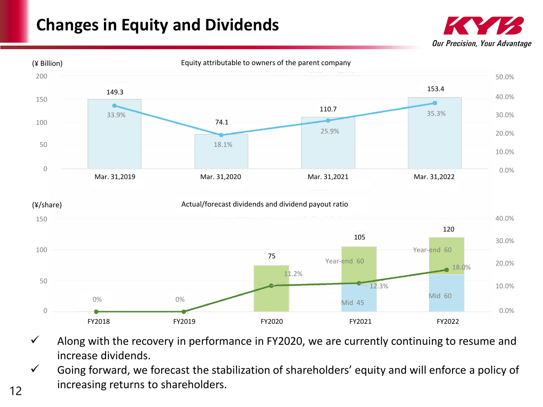## **Changes in Equity and Dividends**





- $\checkmark$  Along with the recovery in performance in FY2020, we are currently continuing to resume and increase dividends.
- $\checkmark$  Going forward, we forecast the stabilization of shareholders' equity and will enforce a policy of increasing returns to shareholders.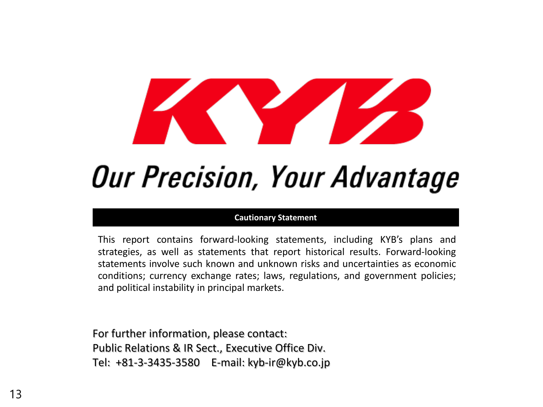# **Our Precision, Your Advantage**

#### **Cautionary Statement**

This report contains forward-looking statements, including KYB's plans and strategies, as well as statements that report historical results. Forward-looking statements involve such known and unknown risks and uncertainties as economic conditions; currency exchange rates; laws, regulations, and government policies; and political instability in principal markets.

For further information, please contact: Public Relations & IR Sect., Executive Office Div. Tel: +81-3-3435-3580 E-mail: kyb-ir@kyb.co.jp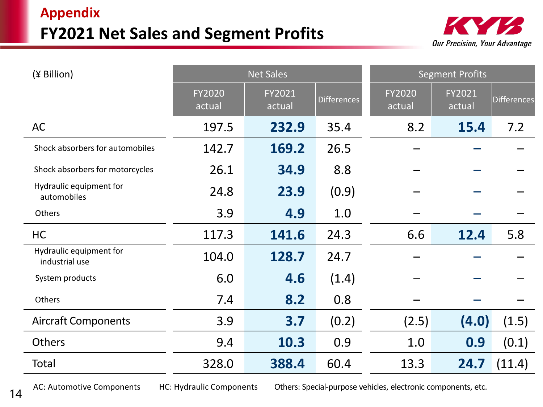#### **Appendix FY2021 Net Sales and Segment Profits**



| (¥ Billion)                               |                  | <b>Net Sales</b> |                    | <b>Segment Profits</b> |                  |             |  |
|-------------------------------------------|------------------|------------------|--------------------|------------------------|------------------|-------------|--|
|                                           | FY2020<br>actual | FY2021<br>actual | <b>Differences</b> | FY2020<br>actual       | FY2021<br>actual | Differences |  |
| <b>AC</b>                                 | 197.5            | 232.9            | 35.4               | 8.2                    | 15.4             | 7.2         |  |
| Shock absorbers for automobiles           | 142.7            | 169.2            | 26.5               |                        |                  |             |  |
| Shock absorbers for motorcycles           | 26.1             | 34.9             | 8.8                |                        |                  |             |  |
| Hydraulic equipment for<br>automobiles    | 24.8             | 23.9             | (0.9)              |                        |                  |             |  |
| Others                                    | 3.9              | 4.9              | 1.0                |                        |                  |             |  |
| HC                                        | 117.3            | 141.6            | 24.3               | 6.6                    | 12.4             | 5.8         |  |
| Hydraulic equipment for<br>industrial use | 104.0            | 128.7            | 24.7               |                        |                  |             |  |
| System products                           | 6.0              | 4.6              | (1.4)              |                        |                  |             |  |
| Others                                    | 7.4              | 8.2              | 0.8                |                        |                  |             |  |
| <b>Aircraft Components</b>                | 3.9              | 3.7              | (0.2)              | (2.5)                  | (4.0)            | (1.5)       |  |
| <b>Others</b>                             | 9.4              | 10.3             | 0.9                | 1.0                    | 0.9              | (0.1)       |  |
| Total                                     | 328.0            | 388.4            | 60.4               | 13.3                   | 24.7             | (11.4)      |  |

AC: Automotive Components HC: Hydraulic Components Others: Special-purpose vehicles, electronic components, etc.

14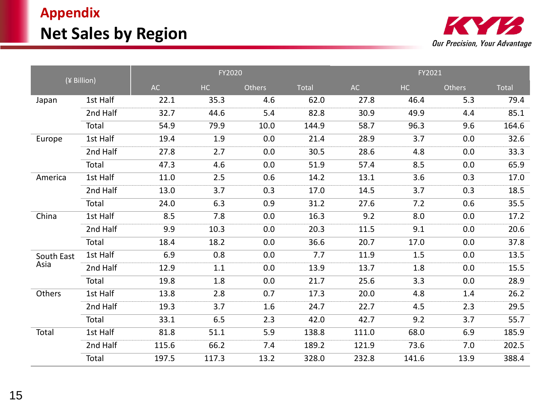## **Appendix Net Sales by Region**



|            | (¥ Billion) |       | FY2020 |        |              |       | FY2021  |               |              |
|------------|-------------|-------|--------|--------|--------------|-------|---------|---------------|--------------|
|            |             | AC    | HC     | Others | <b>Total</b> | AC    | HC      | <b>Others</b> | <b>Total</b> |
| Japan      | 1st Half    | 22.1  | 35.3   | 4.6    | 62.0         | 27.8  | 46.4    | 5.3           | 79.4         |
|            | 2nd Half    | 32.7  | 44.6   | 5.4    | 82.8         | 30.9  | 49.9    | 4.4           | 85.1         |
|            | Total       | 54.9  | 79.9   | 10.0   | 144.9        | 58.7  | 96.3    | 9.6           | 164.6        |
| Europe     | 1st Half    | 19.4  | 1.9    | 0.0    | 21.4         | 28.9  | 3.7     | 0.0           | 32.6         |
|            | 2nd Half    | 27.8  | 2.7    | 0.0    | 30.5         | 28.6  | 4.8     | 0.0           | 33.3         |
|            | Total       | 47.3  | 4.6    | 0.0    | 51.9         | 57.4  | 8.5     | 0.0           | 65.9         |
| America    | 1st Half    | 11.0  | 2.5    | 0.6    | 14.2         | 13.1  | 3.6     | 0.3           | 17.0         |
|            | 2nd Half    | 13.0  | 3.7    | 0.3    | 17.0         | 14.5  | 3.7     | 0.3           | 18.5         |
|            | Total       | 24.0  | 6.3    | 0.9    | 31.2         | 27.6  | 7.2     | 0.6           | 35.5         |
| China      | 1st Half    | 8.5   | 7.8    | 0.0    | 16.3         | 9.2   | 8.0     | 0.0           | 17.2         |
|            | 2nd Half    | 9.9   | 10.3   | 0.0    | 20.3         | 11.5  | 9.1     | 0.0           | 20.6         |
|            | Total       | 18.4  | 18.2   | 0.0    | 36.6         | 20.7  | 17.0    | 0.0           | 37.8         |
| South East | 1st Half    | 6.9   | 0.8    | 0.0    | 7.7          | 11.9  | $1.5\,$ | 0.0           | 13.5         |
| Asia       | 2nd Half    | 12.9  | 1.1    | 0.0    | 13.9         | 13.7  | 1.8     | 0.0           | 15.5         |
|            | Total       | 19.8  | 1.8    | 0.0    | 21.7         | 25.6  | 3.3     | 0.0           | 28.9         |
| Others     | 1st Half    | 13.8  | 2.8    | 0.7    | 17.3         | 20.0  | 4.8     | 1.4           | 26.2         |
|            | 2nd Half    | 19.3  | 3.7    | 1.6    | 24.7         | 22.7  | 4.5     | 2.3           | 29.5         |
|            | Total       | 33.1  | 6.5    | 2.3    | 42.0         | 42.7  | 9.2     | 3.7           | 55.7         |
| Total      | 1st Half    | 81.8  | 51.1   | 5.9    | 138.8        | 111.0 | 68.0    | 6.9           | 185.9        |
|            | 2nd Half    | 115.6 | 66.2   | 7.4    | 189.2        | 121.9 | 73.6    | 7.0           | 202.5        |
|            | Total       | 197.5 | 117.3  | 13.2   | 328.0        | 232.8 | 141.6   | 13.9          | 388.4        |